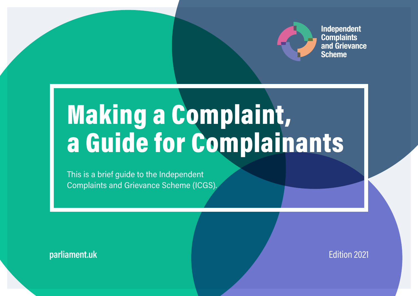

**Independent Complaints** and Grievance **Scheme** 

# Making a Complaint, a Guide for Complainants

This is a brief guide to the Independent Complaints and Grievance Scheme (ICGS).

**parliament.uk Edition 2021**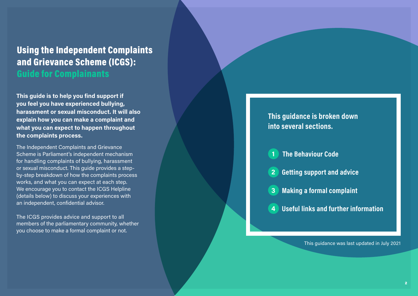### Using the Independent Complaints and Grievance Scheme (ICGS): Guide for Complainants

This guide is to help you find support if you feel you have experienced bullying, harassment or sexual misconduct. It will also explain how you can make a complaint and what you can expect to happen throughout the complaints process.

The Independent Complaints and Grievance Scheme is Parliament's independent mechanism for handling complaints of bullying, harassment or sexual misconduct. This guide provides a stepby-step breakdown of how the complaints process works, and what you can expect at each step. We encourage you to contact the ICGS Helpline (details below) to discuss your experiences with an independent, confidential advisor.

The ICGS provides advice and support to all members of the parliamentary community, whether you choose to make a formal complaint or not.

### This guidance is broken down into several sections.

### 1 The Behaviour Code

- 2 Getting support and advice
- 3 Making a formal complaint
- 4 Useful links and further information

This guidance was last updated in July 2021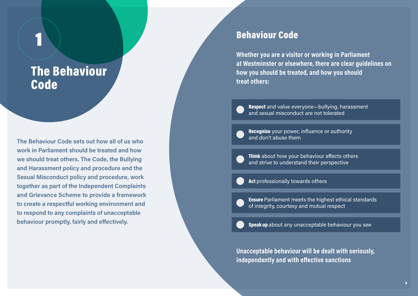# The Behaviour Code

1

The Behaviour Code sets out how all of us who work in Parliament should be treated and how we should treat others. The Code, the Bullying and Harassment policy and procedure and the Sexual Misconduct policy and procedure, work together as part of the Independent Complaints and Grievance Scheme to provide a framework to create a respectful working environment and to respond to any complaints of unacceptable behaviour promptly, fairly and effectively.

### Behaviour Code

Whether you are a visitor or working in Parliament at Westminster or elsewhere, there are clear guidelines on how you should be treated, and how you should treat others:

Respect and value everyone-bullying, harassment and sexual misconduct are not tolerated

Recognise your power, influence or authority and don't abuse them

Think about how your behaviour affects others and strive to understand their perspective

Act professionally towards others

Ensure Parliament meets the highest ethical standards of integrity, courtesy and mutual respect

Speak up about any unacceptable behaviour you see

Unacceptable behaviour will be dealt with seriously, independently and with effective sanctions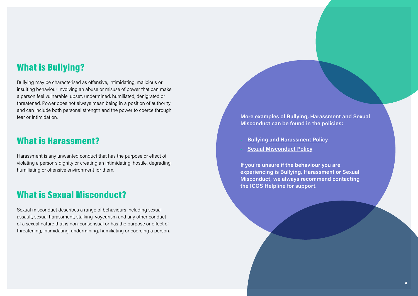### What is Bullying?

Bullying may be characterised as offensive, intimidating, malicious or insulting behaviour involving an abuse or misuse of power that can make a person feel vulnerable, upset, undermined, humiliated, denigrated or threatened. Power does not always mean being in a position of authority and can include both personal strength and the power to coerce through fear or intimidation.

### What is Harassment?

Harassment is any unwanted conduct that has the purpose or effect of violating a person's dignity or creating an intimidating, hostile, degrading, humiliating or offensive environment for them.

### What is Sexual Misconduct?

Sexual misconduct describes a range of behaviours including sexual assault, sexual harassment, stalking, voyeurism and any other conduct of a sexual nature that is non-consensual or has the purpose or effect of threatening, intimidating, undermining, humiliating or coercing a person. More examples of Bullying, Harassment and Sexual Misconduct can be found in the policies:

- **Bullying and [Harassment](https://hopuk.sharepoint.com/sites/ICGSHub/Shared%20Documents/Forms/AllItems.aspx?id=%2Fsites%2FICGSHub%2FShared%20Documents%2FICGS%20Policies%20and%20Procedures%2FBullying%20and%20Harassment%20Policy%5FFINAL%2Epdf&parent=%2Fsites%2FICGSHub%2FShared%20Documents%2FICGS%20Policies%20and%20Procedures) Policy**
- Sexual [Misconduct](https://hopuk.sharepoint.com/sites/ICGSHub/Shared%20Documents/Forms/AllItems.aspx?id=%2Fsites%2FICGSHub%2FShared%20Documents%2FICGS%20Policies%20and%20Procedures%2FSexual%20Misconduct%20Policy%5FFINAL%2Epdf&parent=%2Fsites%2FICGSHub%2FShared%20Documents%2FICGS%20Policies%20and%20Procedures) Policy

If you're unsure if the behaviour you are experiencing is Bullying, Harassment or Sexual Misconduct, we always recommend contacting the ICGS Helpline for support.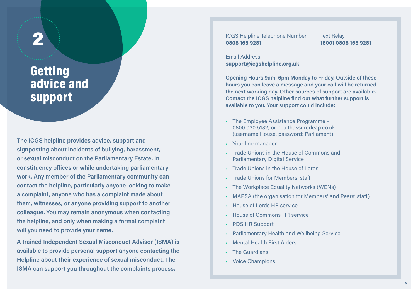## **Getting** advice and support

The ICGS helpline provides advice, support and signposting about incidents of bullying, harassment, or sexual misconduct on the Parliamentary Estate, in constituency offices or while undertaking parliamentary work. Any member of the Parliamentary community can contact the helpline, particularly anyone looking to make a complaint, anyone who has a complaint made about them, witnesses, or anyone providing support to another colleague. You may remain anonymous when contacting the helpline, and only when making a formal complaint will you need to provide your name.

A trained Independent Sexual Misconduct Advisor (ISMA) is available to provide personal support anyone contacting the Helpline about their experience of sexual misconduct. The ISMA can support you throughout the complaints process.

ICGS Helpline Telephone Number 0808 168 9281 2 Text Relay

18001 0808 168 9281

Email Address support@icgshelpline.org.uk

Opening Hours 9am–6pm Monday to Friday. Outside of these hours you can leave a message and your call will be returned the next working day. Other sources of support are available. Contact the ICGS helpline find out what further support is available to you. Your support could include:

- The Employee Assistance Programme 0800 030 5182, or healthassuredeap.co.uk (username House, password: Parliament)
- Your line manager
- Trade Unions in the House of Commons and Parliamentary Digital Service
- Trade Unions in the House of Lords
- Trade Unions for Members' staff
- The Workplace Equality Networks (WENs)
- MAPSA (the organisation for Members' and Peers' staff)
- House of Lords HR service
- House of Commons HR service
- PDS HR Support
- Parliamentary Health and Wellbeing Service
- Mental Health First Aiders
- The Guardians
- Voice Champions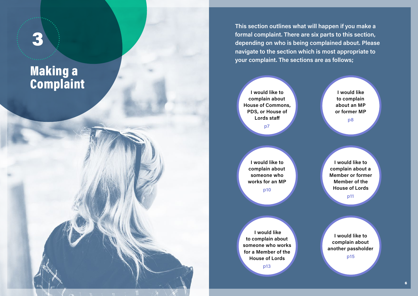# Making a 3<br>
Making a<br>
Complaint

This section outlines what will happen if you make a formal complaint. There are six parts to this section, depending on who is being complained about. Please navigate to the section which is most appropriate to your complaint. The sections are as follows;

I would like to complain about House of Commons, PDS, or House of Lords staff p7

I would like to complain about an MP or former MP p8

I would like to complain about someone who works for an MP p10

I would like to complain about someone who works for a Member of the House of Lords p13

I would like to complain about a Member or former Member of the House of Lords p11

I would like to complain about another passholder p15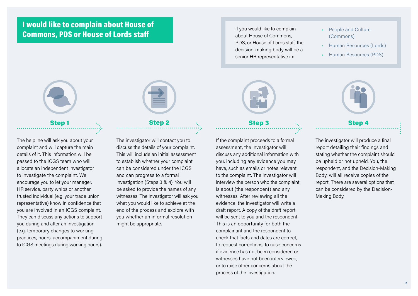### I would like to complain about House of Commons, PDS or House of Lords staff

If you would like to complain about House of Commons, PDS, or House of Lords staff, the decision-making body will be a senior HR representative in:

- People and Culture (Commons)
- Human Resources (Lords)
- Human Resources (PDS)



The helpline will ask you about your complaint and will capture the main details of it. This information will be passed to the ICGS team who will allocate an independent investigator to investigate the complaint. We encourage you to let your manager, HR service, party whips or another trusted individual (e.g. your trade union representative) know in confidence that you are involved in an ICGS complaint. They can discuss any actions to support you during and after an investigation (e.g. temporary changes to working practices, hours, accompaniment during to ICGS meetings during working hours).



### $\textsf{Step 1} \qquad \qquad \ddots \qquad \qquad \textsf{Step 2} \qquad \qquad \ddots \qquad \qquad \textsf{Step 4}$

The investigator will contact you to discuss the details of your complaint. This will include an initial assessment to establish whether your complaint can be considered under the ICGS and can progress to a formal investigation (Steps 3 & 4). You will be asked to provide the names of any witnesses. The investigator will ask you what you would like to achieve at the end of the process and explore with you whether an informal resolution might be appropriate.



If the complaint proceeds to a formal assessment, the investigator will discuss any additional information with you, including any evidence you may have, such as emails or notes relevant to the complaint. The investigator will interview the person who the complaint is about (the respondent) and any witnesses. After reviewing all the evidence, the investigator will write a draft report. A copy of the draft report will be sent to you and the respondent. This is an opportunity for both the complainant and the respondent to check that facts and dates are correct, to request corrections, to raise concerns if evidence has not been considered or witnesses have not been interviewed, or to raise other concerns about the process of the investigation.



The investigator will produce a final report detailing their findings and stating whether the complaint should be upheld or not upheld. You, the respondent, and the Decision-Making Body, will all receive copies of the report. There are several options that can be considered by the Decision-Making Body.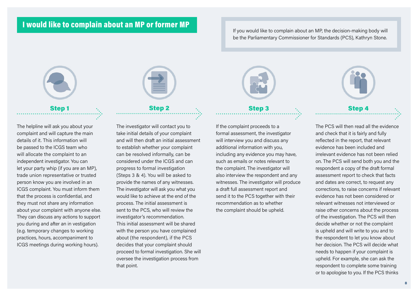### I would like to complain about an MP or former MP

If you would like to complain about an MP, the decision-making body will be the Parliamentary Commissioner for Standards (PCS), Kathryn Stone.



The helpline will ask you about your complaint and will capture the main details of it. This information will be passed to the ICGS team who will allocate the complaint to an independent investigator. You can let your party whip (if you are an MP), trade union representative or trusted person know you are involved in an ICGS complaint. You must inform them that the process is confidential, and they must not share any information about your complaint with anyone else. They can discuss any actions to support you during and after an in vestigation (e.g. temporary changes to working practices, hours, accompaniment to ICGS meetings during working hours).



The investigator will contact you to take initial details of your complaint and will then draft an initial assessment to establish whether your complaint can be resolved informally, can be considered under the ICGS and can progress to formal investigation (Steps 3 & 4). You will be asked to provide the names of any witnesses. The investigator will ask you what you would like to achieve at the end of the process. The initial assessment is sent to the PCS, who will review the investigator's recommendation. This initial assessment will be shared with the person you have complained about (the respondent), if the PCS decides that your complaint should proceed to formal investigation. She will oversee the investigation process from that point.



### If the complaint proceeds to a formal assessment, the investigator will interview you and discuss any additional information with you, including any evidence you may have, such as emails or notes relevant to the complaint. The investigator will also interview the respondent and any witnesses. The investigator will produce a draft full assessment report and send it to the PCS together with their recommendation as to whether the complaint should be upheld.



 $\textsf{Step 1} \qquad \qquad \ddots \qquad \qquad \textsf{Step 2} \qquad \qquad \ddots \qquad \qquad \textsf{Step 4}$ 

The PCS will then read all the evidence and check that it is fairly and fully reflected in the report, that relevant evidence has been included and irrelevant evidence has not been relied on. The PCS will send both you and the respondent a copy of the draft formal assessment report to check that facts and dates are correct, to request any corrections, to raise concerns if relevant evidence has not been considered or relevant witnesses not interviewed or raise other concerns about the process of the investigation. The PCS will then decide whether or not the complaint is upheld and will write to you and to the respondent to let you know about her decision. The PCS will decide what needs to happen if your complaint is upheld. For example, she can ask the respondent to complete some training or to apologise to you. If the PCS thinks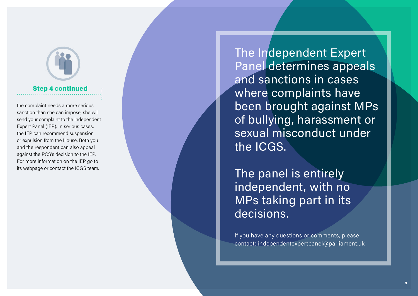## Step 4 continued

the complaint needs a more serious sanction than she can impose, she will send your complaint to the Independent Expert Panel (IEP). In serious cases, the IEP can recommend suspension or expulsion from the House. Both you and the respondent can also appeal against the PCS's decision to the IEP. For more information on the IEP go to its webpage or contact the ICGS team.

The Independent Expert Panel determines appeals and sanctions in cases where complaints have been brought against MPs of bullying, harassment or sexual misconduct under the ICGS.

The panel is entirely independent, with no MPs taking part in its decisions.

If you have any questions or comments, please contact: independentexpertpanel@parliament.uk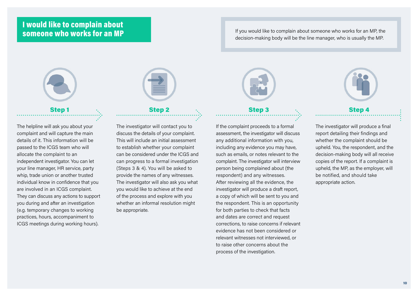### I would like to complain about someone who works for an MP

If you would like to complain about someone who works for an MP, the decision-making body will be the line manager, who is usually the MP.



# $\textsf{Step 1} \qquad \qquad \ddots \qquad \qquad \textsf{Step 2} \qquad \qquad \ddots \qquad \qquad \textsf{Step 4}$

The helpline will ask you about your complaint and will capture the main details of it. This information will be passed to the ICGS team who will allocate the complaint to an independent investigator. You can let your line manager, HR service, party whip, trade union or another trusted individual know in confidence that you are involved in an ICGS complaint. They can discuss any actions to support you during and after an investigation (e.g. temporary changes to working practices, hours, accompaniment to ICGS meetings during working hours).



The investigator will contact you to discuss the details of your complaint. This will include an initial assessment to establish whether your complaint can be considered under the ICGS and can progress to a formal investigation (Steps 3 & 4). You will be asked to provide the names of any witnesses. The investigator will also ask you what you would like to achieve at the end of the process and explore with you whether an informal resolution might be appropriate.



# If the complaint proceeds to a formal

assessment, the investigator will discuss any additional information with you, including any evidence you may have, such as emails, or notes relevant to the complaint. The investigator will interview person being complained about (the respondent) and any witnesses. After reviewing all the evidence, the investigator will produce a draft report, a copy of which will be sent to you and the respondent. This is an opportunity for both parties to check that facts and dates are correct and request corrections, to raise concerns if relevant evidence has not been considered or relevant witnesses not interviewed, or to raise other concerns about the process of the investigation.



The investigator will produce a final report detailing their findings and whether the complaint should be upheld. You, the respondent, and the decision-making body will all receive copies of the report. If a complaint is upheld, the MP, as the employer, will be notified, and should take appropriate action.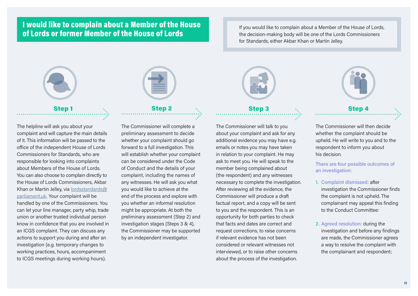### I would like to complain about a Member of the House of Lords or former Member of the House of Lords

If you would like to complain about a Member of the House of Lords, the decision-making body will be one of the Lords Commissioners for Standards, either Akbar Khan or Martin Jelley.



The helpline will ask you about your complaint and will capture the main details of it. This information will be passed to the office of the independent House of Lords Commissioners for Standards, who are responsible for looking into complaints about Members of the House of Lords. You can also choose to complain directly to the House of Lords Commissioners, Akbar Khan or Martin Jelley, via [lordsstandards@](mailto:lordsstandards%40parliament.uk?subject=) [parliament.uk.](mailto:lordsstandards%40parliament.uk?subject=) Your complaint will be handled by one of the Commissioners. You can let your line manager, party whip, trade union or another trusted individual person know in confidence that you are involved in an ICGS complaint. They can discuss any actions to support you during and after an investigation (e.g. temporary changes to working practices, hours, accompaniment to ICGS meetings during working hours).



The Commissioner will complete a preliminary assessment to decide whether your complaint should go forward to a full investigation. This will establish whether your complaint can be considered under the Code of Conduct and the details of your complaint, including the names of any witnesses. He will ask you what you would like to achieve at the end of the process and explore with you whether an informal resolution might be appropriate. At both the preliminary assessment (Step 2) and investigation stages (Steps 3 & 4), the Commissioner may be supported by an independent investigator.



The Commissioner will talk to you about your complaint and ask for any additional evidence you may have e.g. emails or notes you may have taken in relation to your complaint. He may ask to meet you. He will speak to the member being complained about (the respondent) and any witnesses necessary to complete the investigation. After reviewing all the evidence, the Commissioner will produce a draft factual report, and a copy will be sent to you and the respondent. This is an opportunity for both parties to check that facts and dates are correct and request corrections, to raise concerns if relevant evidence has not been considered or relevant witnesses not interviewed, or to raise other concerns about the process of the investigation.



The Commissioner will then decide whether the complaint should be upheld. He will write to you and to the respondent to inform you about his decision.

There are four possible outcomes of an investigation:

- 1. Complaint dismissed: after investigation the Commissioner finds the complaint is not upheld. The complainant may appeal this finding to the Conduct Committee:
- 2. Agreed resolution: during the investigation and before any findings are made, the Commissioner agrees a way to resolve the complaint with the complainant and respondent;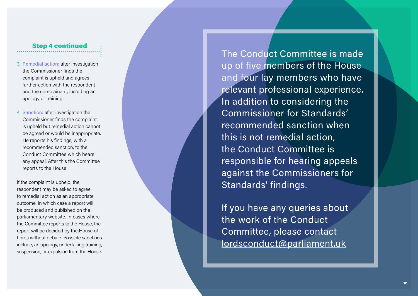### Step 4 continued

- 3. Remedial action: after investigation the Commissioner finds the complaint is upheld and agrees further action with the respondent and the complainant, including an apology or training.
- 4. Sanction: after investigation the Commissioner finds the complaint is upheld but remedial action cannot be agreed or would be inappropriate. He reports his findings, with a recommended sanction, to the Conduct Committee which hears any appeal. After this the Committee reports to the House.

If the complaint is upheld, the respondent may be asked to agree to remedial action as an appropriate outcome, in which case a report will be produced and published on the parliamentary website. In cases where the Committee reports to the House, the report will be decided by the House of Lords without debate. Possible sanctions include, an apology, undertaking training, suspension, or expulsion from the House.

The Conduct Committee is made up of five members of the House and four lay members who have relevant professional experience. In addition to considering the Commissioner for Standards' recommended sanction when this is not remedial action, the Conduct Committee is responsible for hearing appeals against the Commissioners for Standards' findings.

If you have any queries about the work of the Conduct Committee, please contact [lordsconduct@parliament.uk](mailto:%20lordsconduct%40parliament.uk?subject=)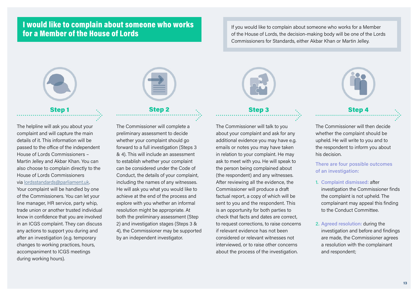### I would like to complain about someone who works for a Member of the House of Lords

If you would like to complain about someone who works for a Member of the House of Lords, the decision-making body will be one of the Lords Commissioners for Standards, either Akbar Khan or Martin Jelley.



## $\textsf{Step 1} \qquad \qquad \ddots \qquad \qquad \textsf{Step 2} \qquad \qquad \ddots \qquad \qquad \textsf{Step 4}$

The helpline will ask you about your complaint and will capture the main details of it. This information will be passed to the office of the independent House of Lords Commissioners – Martin Jelley and Akbar Khan. You can also choose to complain directly to the House of Lords Commissioners via [lordsstandards@parliament.uk.](mailto:lordsstandards%40parliament.uk?subject=) Your complaint will be handled by one of the Commissioners. You can let your line manager, HR service, party whip, trade union or another trusted individual know in confidence that you are involved in an ICGS complaint. They can discuss any actions to support you during and after an investigation (e.g. temporary changes to working practices, hours, accompaniment to ICGS meetings during working hours).



### The Commissioner will complete a preliminary assessment to decide whether your complaint should go forward to a full investigation (Steps 3 & 4). This will include an assessment to establish whether your complaint can be considered under the Code of Conduct, the details of your complaint, including the names of any witnesses. He will ask you what you would like to achieve at the end of the process and explore with you whether an informal resolution might be appropriate. At both the preliminary assessment (Step 2) and investigation stages (Steps 3 & 4), the Commissioner may be supported by an independent investigator.



The Commissioner will talk to you about your complaint and ask for any additional evidence you may have e.g. emails or notes you may have taken in relation to your complaint. He may ask to meet with you. He will speak to the person being complained about (the respondent) and any witnesses. After reviewing all the evidence, the Commissioner will produce a draft factual report, a copy of which will be sent to you and the respondent. This is an opportunity for both parties to check that facts and dates are correct, to request corrections, to raise concerns if relevant evidence has not been considered or relevant witnesses not interviewed, or to raise other concerns about the process of the investigation.



The Commissioner will then decide whether the complaint should be upheld. He will write to you and to the respondent to inform you about his decision.

There are four possible outcomes of an investigation:

- 1. Complaint dismissed: after investigation the Commissioner finds the complaint is not upheld. The complainant may appeal this finding to the Conduct Committee.
- 2. Agreed resolution: during the investigation and before and findings are made, the Commissioner agrees a resolution with the complainant and respondent;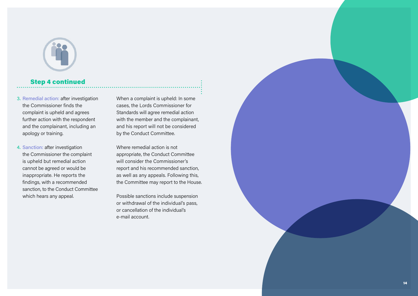

### Step 4 continued

- 3. Remedial action: after investigation the Commissioner finds the complaint is upheld and agrees further action with the respondent and the complainant, including an apology or training.
- 4. Sanction: after investigation the Commissioner the complaint is upheld but remedial action cannot be agreed or would be inappropriate. He reports the findings, with a recommended sanction, to the Conduct Committee which hears any appeal.

When a complaint is upheld: In some cases, the Lords Commissioner for Standards will agree remedial action with the member and the complainant, and his report will not be considered by the Conduct Committee.

Where remedial action is not appropriate, the Conduct Committee will consider the Commissioner's report and his recommended sanction, as well as any appeals. Following this, the Committee may report to the House.

Possible sanctions include suspension or withdrawal of the individual's pass, or cancellation of the individual's e-mail account.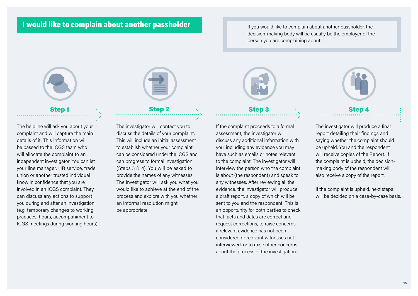### I would like to complain about another passholder

If you would like to complain about another passholder, the decision-making body will be usually be the employer of the person you are complaining about.



The helpline will ask you about your complaint and will capture the main details of it. This information will be passed to the ICGS team who will allocate the complaint to an independent investigator. You can let your line manager, HR service, trade union or another trusted individual know in confidence that you are involved in an ICGS complaint. They can discuss any actions to support you during and after an investigation (e.g. temporary changes to working practices, hours, accompaniment to ICGS meetings during working hours).



### The investigator will contact you to discuss the details of your complaint. This will include an initial assessment to establish whether your complaint can be considered under the ICGS and can progress to formal investigation (Steps 3 & 4). You will be asked to provide the names of any witnesses. The investigator will ask you what you would like to achieve at the end of the process and explore with you whether an informal resolution might be appropriate.

# $\textsf{Step 1} \qquad \qquad \ddots \qquad \qquad \textsf{Step 2} \qquad \qquad \ddots \qquad \qquad \textsf{Step 4}$

If the complaint proceeds to a formal assessment, the investigator will discuss any additional information with you, including any evidence you may have such as emails or notes relevant to the complaint. The investigator will interview the person who the complaint is about (the respondent) and speak to any witnesses. After reviewing all the evidence, the investigator will produce a draft report, a copy of which will be sent to you and the respondent. This is an opportunity for both parties to check that facts and dates are correct and request corrections, to raise concerns if relevant evidence has not been considered or relevant witnesses not interviewed, or to raise other concerns about the process of the investigation.



The investigator will produce a final report detailing their findings and saying whether the complaint should be upheld. You and the respondent will receive copies of the Report. If the complaint is upheld, the decisionmaking body of the respondent will also receive a copy of the report.

If the complaint is upheld, next steps will be decided on a case-by-case basis.